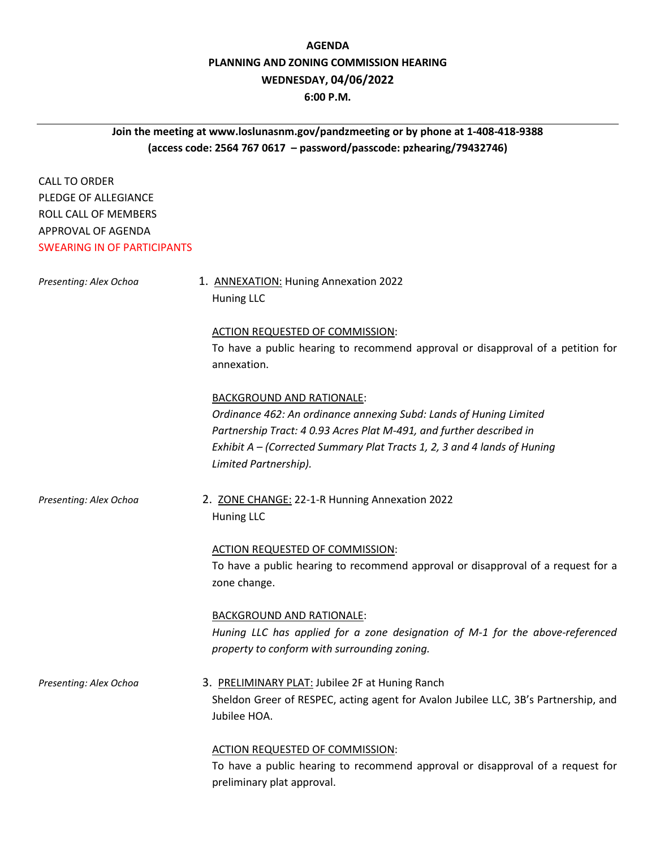# **AGENDA PLANNING AND ZONING COMMISSION HEARING WEDNESDAY, 04/06/2022**

## **6:00 P.M.**

## **Join the meeting at www.loslunasnm.gov/pandzmeeting or by phone at 1-408-418-9388 (access code: 2564 767 0617 – password/passcode: pzhearing/79432746)**

CALL TO ORDER PLEDGE OF ALLEGIANCE ROLL CALL OF MEMBERS APPROVAL OF AGENDA SWEARING IN OF PARTICIPANTS

| Presenting: Alex Ochoa | 1. ANNEXATION: Huning Annexation 2022<br>Huning LLC                                                                                                                                                                                                                                 |
|------------------------|-------------------------------------------------------------------------------------------------------------------------------------------------------------------------------------------------------------------------------------------------------------------------------------|
|                        | <b>ACTION REQUESTED OF COMMISSION:</b><br>To have a public hearing to recommend approval or disapproval of a petition for<br>annexation.                                                                                                                                            |
|                        | <b>BACKGROUND AND RATIONALE:</b><br>Ordinance 462: An ordinance annexing Subd: Lands of Huning Limited<br>Partnership Tract: 4 0.93 Acres Plat M-491, and further described in<br>Exhibit A - (Corrected Summary Plat Tracts 1, 2, 3 and 4 lands of Huning<br>Limited Partnership). |
| Presenting: Alex Ochoa | 2. ZONE CHANGE: 22-1-R Hunning Annexation 2022<br>Huning LLC                                                                                                                                                                                                                        |
|                        | <b>ACTION REQUESTED OF COMMISSION:</b><br>To have a public hearing to recommend approval or disapproval of a request for a<br>zone change.                                                                                                                                          |
|                        | <b>BACKGROUND AND RATIONALE:</b><br>Huning LLC has applied for a zone designation of M-1 for the above-referenced<br>property to conform with surrounding zoning.                                                                                                                   |
| Presenting: Alex Ochoa | 3. PRELIMINARY PLAT: Jubilee 2F at Huning Ranch<br>Sheldon Greer of RESPEC, acting agent for Avalon Jubilee LLC, 3B's Partnership, and<br>Jubilee HOA.                                                                                                                              |
|                        | <b>ACTION REQUESTED OF COMMISSION:</b>                                                                                                                                                                                                                                              |

To have a public hearing to recommend approval or disapproval of a request for preliminary plat approval.